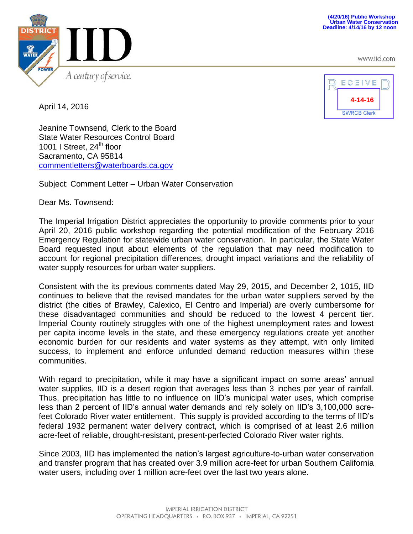www.iid.com



April 14, 2016



Jeanine Townsend, Clerk to the Board State Water Resources Control Board 1001 I Street, 24<sup>th</sup> floor Sacramento, CA 95814 [commentletters@waterboards.ca.gov](mailto:commentletters@waterboards.ca.gov)

Subject: Comment Letter – Urban Water Conservation

Dear Ms. Townsend:

The Imperial Irrigation District appreciates the opportunity to provide comments prior to your April 20, 2016 public workshop regarding the potential modification of the February 2016 Emergency Regulation for statewide urban water conservation. In particular, the State Water Board requested input about elements of the regulation that may need modification to account for regional precipitation differences, drought impact variations and the reliability of water supply resources for urban water suppliers.

Consistent with the its previous comments dated May 29, 2015, and December 2, 1015, IID continues to believe that the revised mandates for the urban water suppliers served by the district (the cities of Brawley, Calexico, El Centro and Imperial) are overly cumbersome for these disadvantaged communities and should be reduced to the lowest 4 percent tier. Imperial County routinely struggles with one of the highest unemployment rates and lowest per capita income levels in the state, and these emergency regulations create yet another economic burden for our residents and water systems as they attempt, with only limited success, to implement and enforce unfunded demand reduction measures within these communities.

With regard to precipitation, while it may have a significant impact on some areas' annual water supplies, IID is a desert region that averages less than 3 inches per year of rainfall. Thus, precipitation has little to no influence on IID's municipal water uses, which comprise less than 2 percent of IID's annual water demands and rely solely on IID's 3,100,000 acrefeet Colorado River water entitlement. This supply is provided according to the terms of IID's federal 1932 permanent water delivery contract, which is comprised of at least 2.6 million acre-feet of reliable, drought-resistant, present-perfected Colorado River water rights.

Since 2003, IID has implemented the nation's largest agriculture-to-urban water conservation and transfer program that has created over 3.9 million acre-feet for urban Southern California water users, including over 1 million acre-feet over the last two years alone.